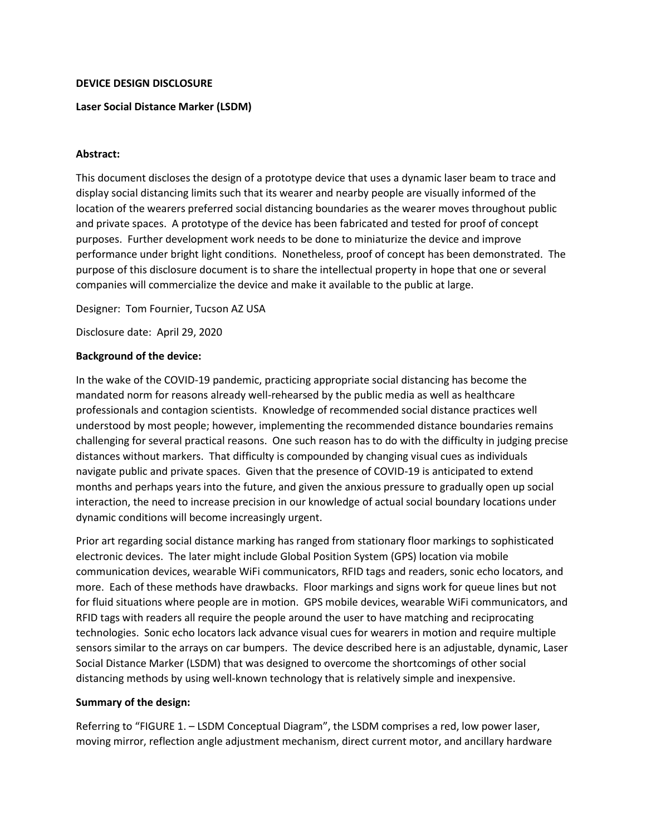## **DEVICE DESIGN DISCLOSURE**

## **Laser Social Distance Marker (LSDM)**

#### **Abstract:**

This document discloses the design of a prototype device that uses a dynamic laser beam to trace and display social distancing limits such that its wearer and nearby people are visually informed of the location of the wearers preferred social distancing boundaries as the wearer moves throughout public and private spaces. A prototype of the device has been fabricated and tested for proof of concept purposes. Further development work needs to be done to miniaturize the device and improve performance under bright light conditions. Nonetheless, proof of concept has been demonstrated. The purpose of this disclosure document is to share the intellectual property in hope that one or several companies will commercialize the device and make it available to the public at large.

Designer: Tom Fournier, Tucson AZ USA

Disclosure date: April 29, 2020

#### **Background of the device:**

In the wake of the COVID-19 pandemic, practicing appropriate social distancing has become the mandated norm for reasons already well-rehearsed by the public media as well as healthcare professionals and contagion scientists. Knowledge of recommended social distance practices well understood by most people; however, implementing the recommended distance boundaries remains challenging for several practical reasons. One such reason has to do with the difficulty in judging precise distances without markers. That difficulty is compounded by changing visual cues as individuals navigate public and private spaces. Given that the presence of COVID-19 is anticipated to extend months and perhaps years into the future, and given the anxious pressure to gradually open up social interaction, the need to increase precision in our knowledge of actual social boundary locations under dynamic conditions will become increasingly urgent.

Prior art regarding social distance marking has ranged from stationary floor markings to sophisticated electronic devices. The later might include Global Position System (GPS) location via mobile communication devices, wearable WiFi communicators, RFID tags and readers, sonic echo locators, and more. Each of these methods have drawbacks. Floor markings and signs work for queue lines but not for fluid situations where people are in motion. GPS mobile devices, wearable WiFi communicators, and RFID tags with readers all require the people around the user to have matching and reciprocating technologies. Sonic echo locators lack advance visual cues for wearers in motion and require multiple sensors similar to the arrays on car bumpers. The device described here is an adjustable, dynamic, Laser Social Distance Marker (LSDM) that was designed to overcome the shortcomings of other social distancing methods by using well-known technology that is relatively simple and inexpensive.

#### **Summary of the design:**

Referring to "FIGURE 1. – LSDM Conceptual Diagram", the LSDM comprises a red, low power laser, moving mirror, reflection angle adjustment mechanism, direct current motor, and ancillary hardware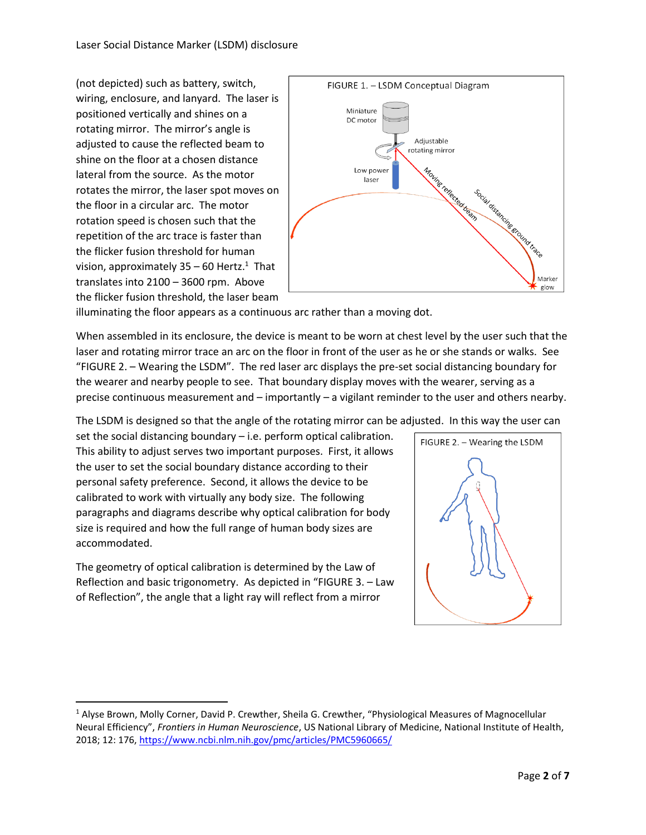(not depicted) such as battery, switch, wiring, enclosure, and lanyard. The laser is positioned vertically and shines on a rotating mirror. The mirror's angle is adjusted to cause the reflected beam to shine on the floor at a chosen distance lateral from the source. As the motor rotates the mirror, the laser spot moves on the floor in a circular arc. The motor rotation speed is chosen such that the repetition of the arc trace is faster than the flicker fusion threshold for human vision, approximately  $35 - 60$  Hertz.<sup>1</sup> That translates into 2100 – 3600 rpm. Above the flicker fusion threshold, the laser beam



illuminating the floor appears as a continuous arc rather than a moving dot.

When assembled in its enclosure, the device is meant to be worn at chest level by the user such that the laser and rotating mirror trace an arc on the floor in front of the user as he or she stands or walks. See "FIGURE 2. – Wearing the LSDM". The red laser arc displays the pre-set social distancing boundary for the wearer and nearby people to see. That boundary display moves with the wearer, serving as a precise continuous measurement and – importantly – a vigilant reminder to the user and others nearby.

The LSDM is designed so that the angle of the rotating mirror can be adjusted. In this way the user can

set the social distancing boundary – i.e. perform optical calibration. This ability to adjust serves two important purposes. First, it allows the user to set the social boundary distance according to their personal safety preference. Second, it allows the device to be calibrated to work with virtually any body size. The following paragraphs and diagrams describe why optical calibration for body size is required and how the full range of human body sizes are accommodated.

The geometry of optical calibration is determined by the Law of Reflection and basic trigonometry. As depicted in "FIGURE 3. – Law of Reflection", the angle that a light ray will reflect from a mirror



<sup>1</sup> Alyse Brown, Molly Corner, David P. Crewther, Sheila G. Crewther, "Physiological Measures of Magnocellular Neural Efficiency", *Frontiers in Human Neuroscience*, US National Library of Medicine, National Institute of Health, 2018; 12: 176,<https://www.ncbi.nlm.nih.gov/pmc/articles/PMC5960665/>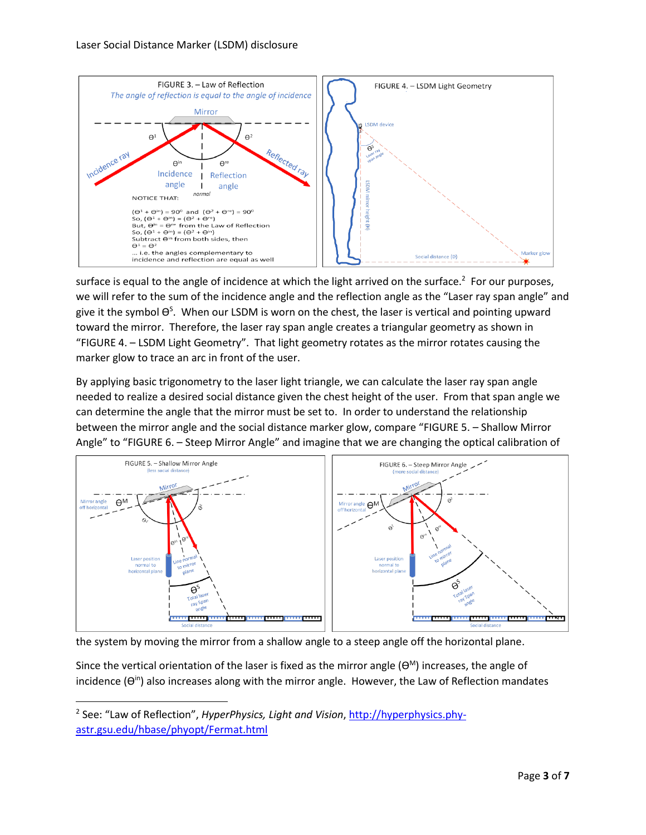

surface is equal to the angle of incidence at which the light arrived on the surface.<sup>2</sup> For our purposes, we will refer to the sum of the incidence angle and the reflection angle as the "Laser ray span angle" and give it the symbol  $\Theta^{\text{S}}$ . When our LSDM is worn on the chest, the laser is vertical and pointing upward toward the mirror. Therefore, the laser ray span angle creates a triangular geometry as shown in "FIGURE 4. – LSDM Light Geometry". That light geometry rotates as the mirror rotates causing the marker glow to trace an arc in front of the user.

By applying basic trigonometry to the laser light triangle, we can calculate the laser ray span angle needed to realize a desired social distance given the chest height of the user. From that span angle we can determine the angle that the mirror must be set to. In order to understand the relationship between the mirror angle and the social distance marker glow, compare "FIGURE 5. – Shallow Mirror Angle" to "FIGURE 6. – Steep Mirror Angle" and imagine that we are changing the optical calibration of



the system by moving the mirror from a shallow angle to a steep angle off the horizontal plane.

Since the vertical orientation of the laser is fixed as the mirror angle  $(\Theta^{\mathsf{M}})$  increases, the angle of incidence ( $\Theta^{in}$ ) also increases along with the mirror angle. However, the Law of Reflection mandates

<sup>2</sup> See: "Law of Reflection", *HyperPhysics, Light and Vision*, [http://hyperphysics.phy](http://hyperphysics.phy-astr.gsu.edu/hbase/phyopt/Fermat.html)[astr.gsu.edu/hbase/phyopt/Fermat.html](http://hyperphysics.phy-astr.gsu.edu/hbase/phyopt/Fermat.html)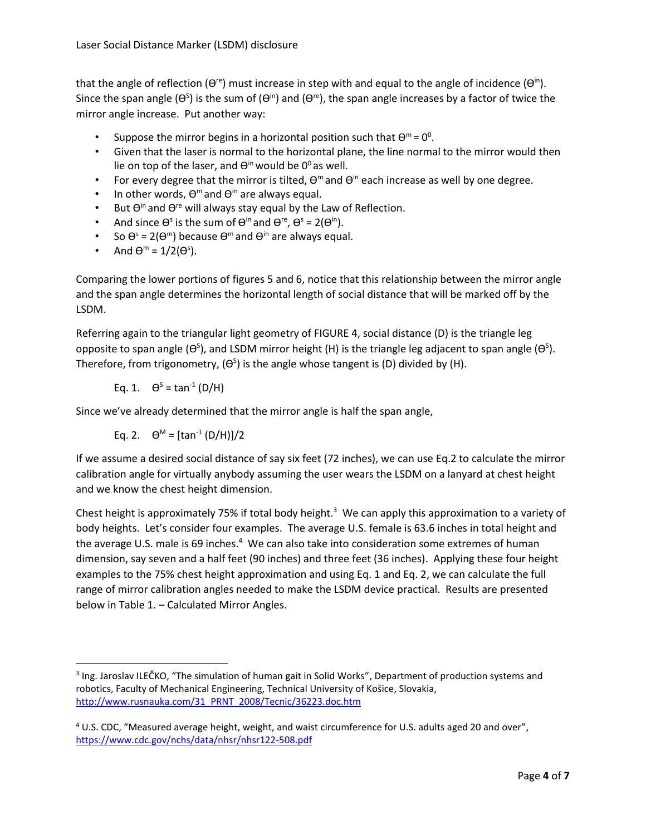that the angle of reflection ( $\Theta^{re}$ ) must increase in step with and equal to the angle of incidence ( $\Theta^{in}$ ). Since the span angle ( $\Theta^{\text{s}}$ ) is the sum of ( $\Theta^{\text{in}}$ ) and ( $\Theta^{\text{re}}$ ), the span angle increases by a factor of twice the mirror angle increase. Put another way:

- Suppose the mirror begins in a horizontal position such that  $\Theta^m = 0^0$ .
- Given that the laser is normal to the horizontal plane, the line normal to the mirror would then lie on top of the laser, and  $\theta^{in}$  would be  $0^0$  as well.
- For every degree that the mirror is tilted,  $\theta^m$  and  $\theta^m$  each increase as well by one degree.
- In other words,  $\Theta^m$  and  $\Theta^{\text{in}}$  are always equal.
- But  $\Theta^{in}$  and  $\Theta^{re}$  will always stay equal by the Law of Reflection.
- And since  $\Theta^s$  is the sum of  $\Theta^{\text{in}}$  and  $\Theta^{\text{re}}$ ,  $\Theta^s = 2(\Theta^{\text{in}})$ .
- So  $\Theta^s = 2(\Theta^m)$  because  $\Theta^m$  and  $\Theta^{\text{in}}$  are always equal.
- And  $\Theta^m = 1/2(\Theta^s)$ .

Comparing the lower portions of figures 5 and 6, notice that this relationship between the mirror angle and the span angle determines the horizontal length of social distance that will be marked off by the LSDM.

Referring again to the triangular light geometry of FIGURE 4, social distance (D) is the triangle leg opposite to span angle ( $\Theta^s$ ), and LSDM mirror height (H) is the triangle leg adjacent to span angle ( $\Theta^s$ ). Therefore, from trigonometry,  $(\Theta^{\text{S}})$  is the angle whose tangent is (D) divided by (H).

Eq. 1.  $\Theta^{s} = \tan^{-1}(D/H)$ 

Since we've already determined that the mirror angle is half the span angle,

Eq. 2.  $\theta^M = [\tan^{-1}(D/H)]/2$ 

If we assume a desired social distance of say six feet (72 inches), we can use Eq.2 to calculate the mirror calibration angle for virtually anybody assuming the user wears the LSDM on a lanyard at chest height and we know the chest height dimension.

Chest height is approximately 75% if total body height.<sup>3</sup> We can apply this approximation to a variety of body heights. Let's consider four examples. The average U.S. female is 63.6 inches in total height and the average U.S. male is 69 inches.<sup>4</sup> We can also take into consideration some extremes of human dimension, say seven and a half feet (90 inches) and three feet (36 inches). Applying these four height examples to the 75% chest height approximation and using Eq. 1 and Eq. 2, we can calculate the full range of mirror calibration angles needed to make the LSDM device practical. Results are presented below in Table 1. – Calculated Mirror Angles.

<sup>&</sup>lt;sup>3</sup> Ing. Jaroslav ILEČKO, "The simulation of human gait in Solid Works", Department of production systems and robotics, Faculty of Mechanical Engineering, Technical University of Košice, Slovakia, [http://www.rusnauka.com/31\\_PRNT\\_2008/Tecnic/36223.doc.htm](http://www.rusnauka.com/31_PRNT_2008/Tecnic/36223.doc.htm)

<sup>4</sup> U.S. CDC, "Measured average height, weight, and waist circumference for U.S. adults aged 20 and over", <https://www.cdc.gov/nchs/data/nhsr/nhsr122-508.pdf>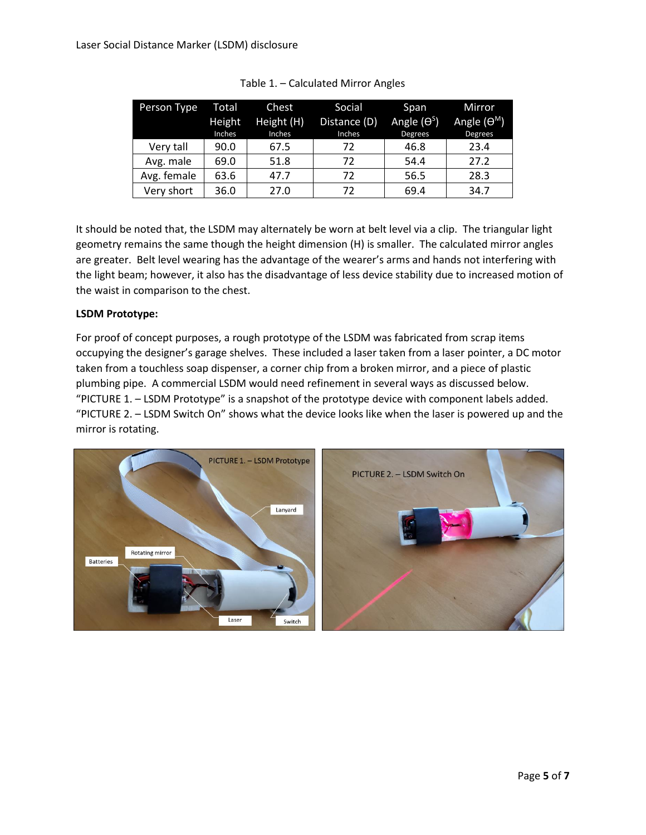| Person Type | Total  | Chest      | Social       | Span                          | Mirror             |
|-------------|--------|------------|--------------|-------------------------------|--------------------|
|             | Height | Height (H) | Distance (D) | Angle $(\Theta^{\mathsf{S}})$ | Angle $(\Theta^M)$ |
|             | Inches | Inches     | Inches       | Degrees                       | <b>Degrees</b>     |
| Very tall   | 90.0   | 67.5       | 72           | 46.8                          | 23.4               |
| Avg. male   | 69.0   | 51.8       | 72           | 54.4                          | 27.2               |
| Avg. female | 63.6   | 47.7       | 72           | 56.5                          | 28.3               |
| Very short  | 36.0   | 27.0       | 72           | 69.4                          | 34.7               |

| Table 1. - Calculated Mirror Angles |  |  |  |  |
|-------------------------------------|--|--|--|--|
|-------------------------------------|--|--|--|--|

It should be noted that, the LSDM may alternately be worn at belt level via a clip. The triangular light geometry remains the same though the height dimension (H) is smaller. The calculated mirror angles are greater. Belt level wearing has the advantage of the wearer's arms and hands not interfering with the light beam; however, it also has the disadvantage of less device stability due to increased motion of the waist in comparison to the chest.

# **LSDM Prototype:**

For proof of concept purposes, a rough prototype of the LSDM was fabricated from scrap items occupying the designer's garage shelves. These included a laser taken from a laser pointer, a DC motor taken from a touchless soap dispenser, a corner chip from a broken mirror, and a piece of plastic plumbing pipe. A commercial LSDM would need refinement in several ways as discussed below. "PICTURE 1. – LSDM Prototype" is a snapshot of the prototype device with component labels added. "PICTURE 2. – LSDM Switch On" shows what the device looks like when the laser is powered up and the mirror is rotating.

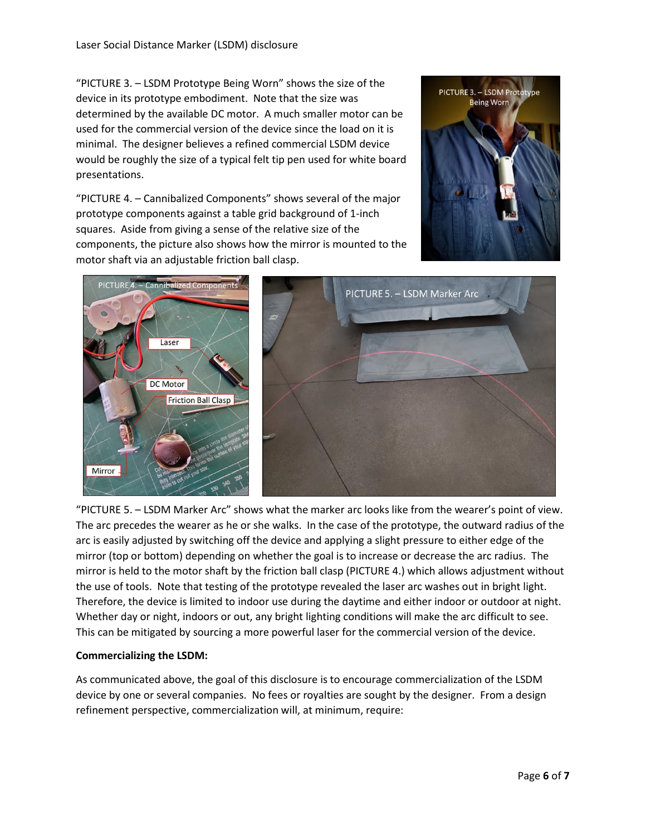"PICTURE 3. – LSDM Prototype Being Worn" shows the size of the device in its prototype embodiment. Note that the size was determined by the available DC motor. A much smaller motor can be used for the commercial version of the device since the load on it is minimal. The designer believes a refined commercial LSDM device would be roughly the size of a typical felt tip pen used for white board presentations.

"PICTURE 4. – Cannibalized Components" shows several of the major prototype components against a table grid background of 1-inch squares. Aside from giving a sense of the relative size of the components, the picture also shows how the mirror is mounted to the motor shaft via an adjustable friction ball clasp.





"PICTURE 5. – LSDM Marker Arc" shows what the marker arc looks like from the wearer's point of view. The arc precedes the wearer as he or she walks. In the case of the prototype, the outward radius of the arc is easily adjusted by switching off the device and applying a slight pressure to either edge of the mirror (top or bottom) depending on whether the goal is to increase or decrease the arc radius. The mirror is held to the motor shaft by the friction ball clasp (PICTURE 4.) which allows adjustment without the use of tools. Note that testing of the prototype revealed the laser arc washes out in bright light. Therefore, the device is limited to indoor use during the daytime and either indoor or outdoor at night. Whether day or night, indoors or out, any bright lighting conditions will make the arc difficult to see. This can be mitigated by sourcing a more powerful laser for the commercial version of the device.

## **Commercializing the LSDM:**

As communicated above, the goal of this disclosure is to encourage commercialization of the LSDM device by one or several companies. No fees or royalties are sought by the designer. From a design refinement perspective, commercialization will, at minimum, require: